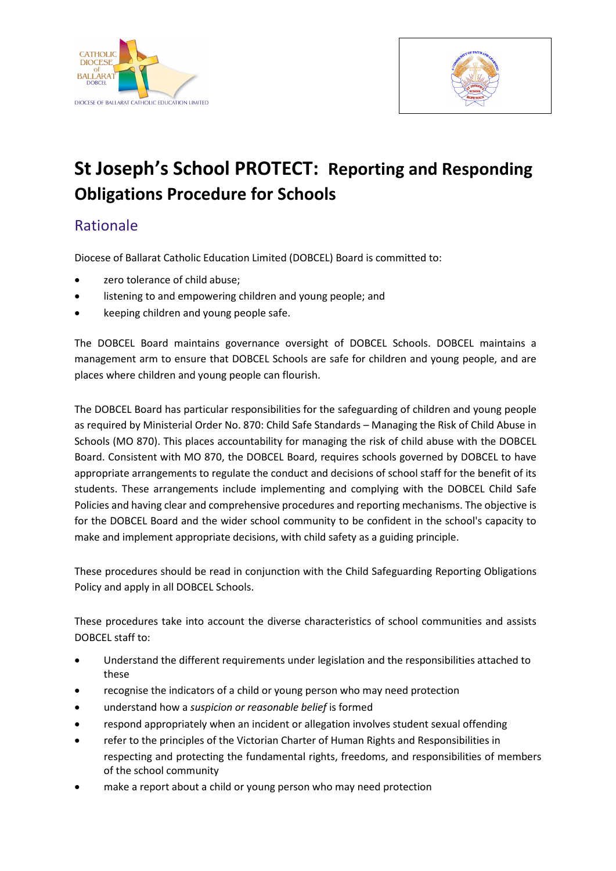



# **St Joseph's School PROTECT: Reporting and Responding Obligations Procedure for Schools**

## Rationale

Diocese of Ballarat Catholic Education Limited (DOBCEL) Board is committed to:

- zero tolerance of child abuse;
- listening to and empowering children and young people; and
- keeping children and young people safe.

The DOBCEL Board maintains governance oversight of DOBCEL Schools. DOBCEL maintains a management arm to ensure that DOBCEL Schools are safe for children and young people, and are places where children and young people can flourish.

The DOBCEL Board has particular responsibilities for the safeguarding of children and young people as required by Ministerial Order No. 870: Child Safe Standards – Managing the Risk of Child Abuse in Schools (MO 870). This places accountability for managing the risk of child abuse with the DOBCEL Board. Consistent with MO 870, the DOBCEL Board, requires schools governed by DOBCEL to have appropriate arrangements to regulate the conduct and decisions of school staff for the benefit of its students. These arrangements include implementing and complying with the DOBCEL Child Safe Policies and having clear and comprehensive procedures and reporting mechanisms. The objective is for the DOBCEL Board and the wider school community to be confident in the school's capacity to make and implement appropriate decisions, with child safety as a guiding principle.

These procedures should be read in conjunction with the Child Safeguarding Reporting Obligations Policy and apply in all DOBCEL Schools.

These procedures take into account the diverse characteristics of school communities and assists DOBCEL staff to:

- Understand the different requirements under legislation and the responsibilities attached to these
- recognise the indicators of a child or young person who may need protection
- understand how a *suspicion or reasonable belief* is formed
- respond appropriately when an incident or allegation involves student sexual offending
- refer to the principles of the Victorian Charter of Human Rights and Responsibilities in respecting and protecting the fundamental rights, freedoms, and responsibilities of members of the school community
- make a report about a child or young person who may need protection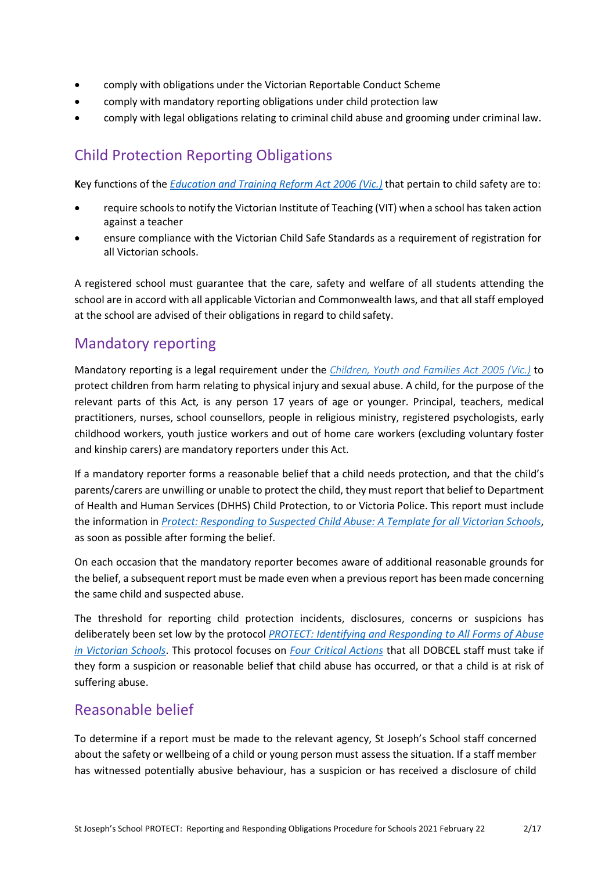- comply with obligations under the Victorian Reportable Conduct Scheme
- comply with mandatory reporting obligations under child protection law
- comply with legal obligations relating to criminal child abuse and grooming under criminal law.

## Child Protection Reporting Obligations

**K**ey functions of the *[Education and Training Reform Act 2006 \(Vic.\)](https://www.education.vic.gov.au/about/department/legislation/Pages/act2006.aspx)* that pertain to child safety are to:

- require schools to notify the Victorian Institute of Teaching (VIT) when a school has taken action against a teacher
- ensure compliance with the Victorian Child Safe Standards as a requirement of registration for all Victorian schools.

A registered school must guarantee that the care, safety and welfare of all students attending the school are in accord with all applicable Victorian and Commonwealth laws, and that all staff employed at the school are advised of their obligations in regard to child safety.

### Mandatory reporting

Mandatory reporting is a legal requirement under the *[Children, Youth and Families Act 2005 \(Vic.\)](http://www6.austlii.edu.au/cgi-bin/viewdb/au/legis/vic/consol_act/cyafa2005252/)* to protect children from harm relating to physical injury and sexual abuse. A child, for the purpose of the relevant parts of this Act*,* is any person 17 years of age or younger. Principal, teachers, medical practitioners, nurses, school counsellors, people in religious ministry, registered psychologists, early childhood workers, youth justice workers and out of home care workers (excluding voluntary foster and kinship carers) are mandatory reporters under this Act.

If a mandatory reporter forms a reasonable belief that a child needs protection, and that the child's parents/carers are unwilling or unable to protect the child, they must report that belief to Department of Health and Human Services (DHHS) Child Protection, to or Victoria Police. This report must include the information in *Protect: [Responding](http://www.education.vic.gov.au/Documents/about/programs/health/protect/PROTECT_Responding_TemplateSchools.pdf) to Suspected Child Abuse: A Template for all Victorian Schools*, as soon as possible after forming the belief.

On each occasion that the mandatory reporter becomes aware of additional reasonable grounds for the belief, a subsequent report must be made even when a previous report has been made concerning the same child and suspected abuse.

The threshold for reporting child protection incidents, disclosures, concerns or suspicions has deliberately been set low by the protocol *[PROTECT: Identifying and Responding to All Forms of Abuse](http://www.education.vic.gov.au/Documents/about/programs/health/protect/ChildSafeStandard5_SchoolsGuide.pdf) [in Victorian Schools](http://www.education.vic.gov.au/Documents/about/programs/health/protect/ChildSafeStandard5_SchoolsGuide.pdf)*. This protocol focuses on *[Four Critical Actions](http://www.education.vic.gov.au/Documents/about/programs/health/protect/FourCriticalActions_ChildAbuse.pdf)* that all DOBCEL staff must take if they form a suspicion or reasonable belief that child abuse has occurred, or that a child is at risk of suffering abuse.

### Reasonable belief

To determine if a report must be made to the relevant agency, St Joseph's School staff concerned about the safety or wellbeing of a child or young person must assess the situation. If a staff member has witnessed potentially abusive behaviour, has a suspicion or has received a disclosure of child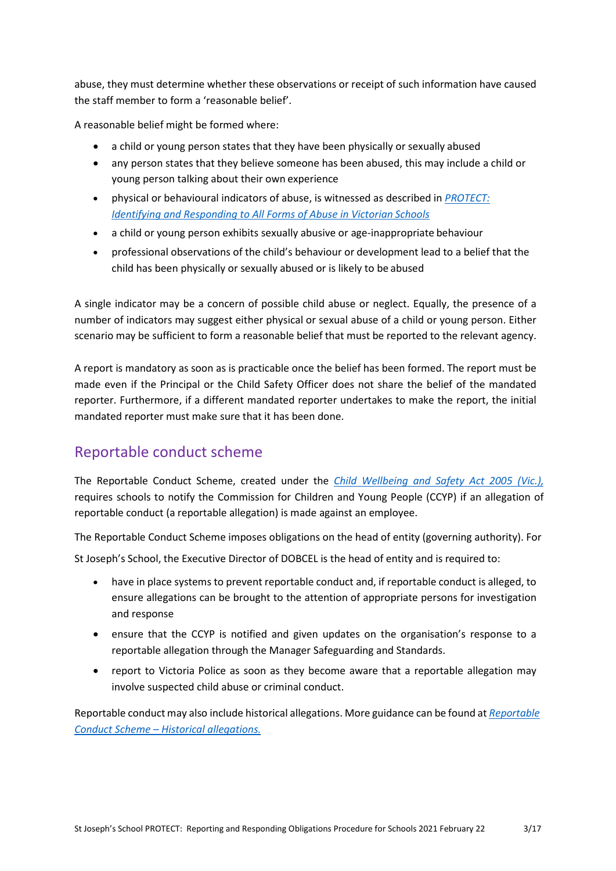abuse, they must determine whether these observations or receipt of such information have caused the staff member to form a 'reasonable belief'.

A reasonable belief might be formed where:

- a child or young person states that they have been physically or sexually abused
- any person states that they believe someone has been abused, this may include a child or young person talking about their own experience
- physical or behavioural indicators of abuse, is witnessed as described in *[PROTECT:](http://www.education.vic.gov.au/Documents/about/programs/health/protect/ChildSafeStandard5_SchoolsGuide.pdf)  [Identifying](http://www.education.vic.gov.au/Documents/about/programs/health/protect/ChildSafeStandard5_SchoolsGuide.pdf) [and Responding to All Forms of Abuse in Victorian](http://www.education.vic.gov.au/Documents/about/programs/health/protect/ChildSafeStandard5_SchoolsGuide.pdf) Schools*
- a child or young person exhibits sexually abusive or age-inappropriate behaviour
- professional observations of the child's behaviour or development lead to a belief that the child has been physically or sexually abused or is likely to be abused

A single indicator may be a concern of possible child abuse or neglect. Equally, the presence of a number of indicators may suggest either physical or sexual abuse of a child or young person. Either scenario may be sufficient to form a reasonable belief that must be reported to the relevant agency.

A report is mandatory as soon as is practicable once the belief has been formed. The report must be made even if the Principal or the Child Safety Officer does not share the belief of the mandated reporter. Furthermore, if a different mandated reporter undertakes to make the report, the initial mandated reporter must make sure that it has been done.

## Reportable conduct scheme

The Reportable Conduct Scheme, created under the *[Child Wellbeing and Safety Act 2005 \(Vic.\),](http://www8.austlii.edu.au/cgi-bin/viewdb/au/legis/vic/consol_act/cwasa2005218/)* requires schools to notify the Commission for Children and Young People (CCYP) if an allegation of reportable conduct (a reportable allegation) is made against an employee.

The Reportable Conduct Scheme imposes obligations on the head of entity (governing authority). For

St Joseph's School, the Executive Director of DOBCEL is the head of entity and is required to:

- have in place systems to prevent reportable conduct and, if reportable conduct is alleged, to ensure allegations can be brought to the attention of appropriate persons for investigation and response
- ensure that the CCYP is notified and given updates on the organisation's response to a reportable allegation through the Manager Safeguarding and Standards.
- report to Victoria Police as soon as they become aware that a reportable allegation may involve suspected child abuse or criminal conduct.

Reportable conduct may also include historical allegations. More guidance can be found at *[Reportable](https://ccyp.vic.gov.au/assets/resources/RCSInfoSheetUpdates/Historical-Allegations-110718.pdf) [Conduct Scheme –](https://ccyp.vic.gov.au/assets/resources/RCSInfoSheetUpdates/Historical-Allegations-110718.pdf) Historical allegations.*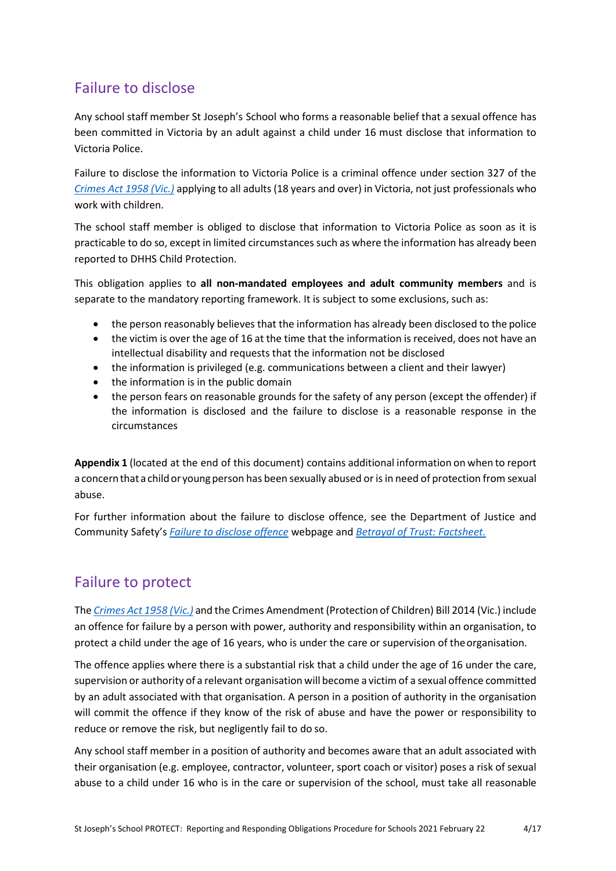## Failure to disclose

Any school staff member St Joseph's School who forms a reasonable belief that a sexual offence has been committed in Victoria by an adult against a child under 16 must disclose that information to Victoria Police.

Failure to disclose the information to Victoria Police is a criminal offence under section 327 of the *[Crimes Act 1958 \(Vic.\)](http://classic.austlii.edu.au/au/legis/vic/consol_act/ca195882/)* applying to all adults (18 years and over) in Victoria, not just professionals who work with children.

The school staff member is obliged to disclose that information to Victoria Police as soon as it is practicable to do so, except in limited circumstances such as where the information has already been reported to DHHS Child Protection.

This obligation applies to **all non-mandated employees and adult community members** and is separate to the mandatory reporting framework. It is subject to some exclusions, such as:

- the person reasonably believes that the information has already been disclosed to the police
- the victim is over the age of 16 at the time that the information is received, does not have an intellectual disability and requests that the information not be disclosed
- the information is privileged (e.g. communications between a client and their lawyer)
- the information is in the public domain
- the person fears on reasonable grounds for the safety of any person (except the offender) if the information is disclosed and the failure to disclose is a reasonable response in the circumstances

**Appendix 1** (located at the end of this document) contains additional information on when to report a concern that a child or young person has been sexually abused or is in need of protection from sexual abuse.

For further information about the failure to disclose offence, see the Department of Justice and Community Safety's *[Failure to disclose offence](https://www.justice.vic.gov.au/safer-communities/protecting-children-and-families/failure-to-disclose-offence)* webpage and *[Betrayal of Trust: Factsheet.](https://www.justice.vic.gov.au/sites/default/files/embridge_cache/emshare/original/public/2018/07/f0/bbce5bd2b/failure_to_disclose_betrayal_of_trust_factsheet_2017.pdf)*

## Failure to protect

The *Crimes Act [1958 \(Vic.\)](http://classic.austlii.edu.au/au/legis/vic/consol_act/ca195882/)* and the Crimes [Amendment](http://classic.austlii.edu.au/au/legis/vic/num_act/caoca201436o2014417/) (Protection of Children) Bill 2014 (Vic.) include an offence for failure by a person with power, authority and responsibility within an organisation, to protect a child under the age of 16 years, who is under the care or supervision of theorganisation.

The offence applies where there is a substantial risk that a child under the age of 16 under the care, supervision or authority of a relevant organisation will become a victim of a sexual offence committed by an adult associated with that organisation. A person in a position of authority in the organisation will commit the offence if they know of the risk of abuse and have the power or responsibility to reduce or remove the risk, but negligently fail to do so.

Any school staff member in a position of authority and becomes aware that an adult associated with their organisation (e.g. employee, contractor, volunteer, sport coach or visitor) poses a risk of sexual abuse to a child under 16 who is in the care or supervision of the school, must take all reasonable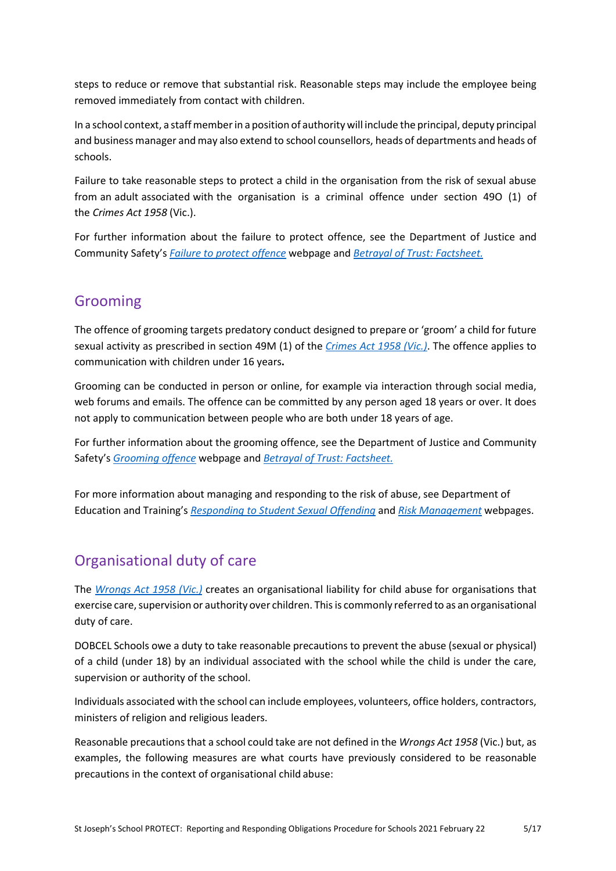steps to reduce or remove that substantial risk. Reasonable steps may include the employee being removed immediately from contact with children.

In a school context, a staff member in a position of authority will include the principal, deputy principal and business manager and may also extend to school counsellors, heads of departments and heads of schools.

Failure to take reasonable steps to protect a child in the organisation from the risk of sexual abuse from an adult associated with the organisation is a criminal offence under section 49O (1) of the *Crimes Act 1958* (Vic.).

For further information about the failure to protect offence, see the Department of Justice and Community Safety's *[Failure to protect offence](https://www.justice.vic.gov.au/safer-communities/protecting-children-and-families/failure-to-protect-a-new-criminal-offence-to)* webpage and *[Betrayal of Trust: Factsheet.](https://www.justice.vic.gov.au/sites/default/files/embridge_cache/emshare/original/public/2018/07/a9/431cfe3d9/failure_to_protect_betrayal_of_trust_factsheet_2017.pdf)*

### Grooming

The offence of grooming targets predatory conduct designed to prepare or 'groom' a child for future sexual activity as prescribed in section 49M (1) of the *[Crimes Act 1958 \(Vic.\)](http://classic.austlii.edu.au/au/legis/vic/consol_act/ca195882/)*. The offence applies to communication with children under 16 years**.**

Grooming can be conducted in person or online, for example via interaction through social media, web forums and emails. The offence can be committed by any person aged 18 years or over. It does not apply to communication between people who are both under 18 years of age.

For further information about the grooming offence, see the Department of Justice and Community Safety's *[Grooming offence](https://www.justice.vic.gov.au/safer-communities/protecting-children-and-families/grooming-offence)* webpage and *[Betrayal of Trust: Factsheet.](https://www.justice.vic.gov.au/sites/default/files/embridge_cache/emshare/original/public/2018/07/ea/2bff28cdf/grooming_betrayal_of_trust_factsheet_2017.pdf)*

For more information about managing and responding to the risk of abuse, see Department of Education and Training's *[Responding to Student Sexual Offending](https://www.education.vic.gov.au/school/principals/spag/safety/Pages/sexualassault.aspx)* and *[Risk Management](http://www.education.vic.gov.au/school/principals/spag/governance/Pages/risk.aspx)* webpages.

## Organisational duty of care

The *[Wrongs Act 1958 \(Vic.\)](https://catholiceducat728.sharepoint.com/sites/SafeguardingPolicyProcedures/Shared%20Documents/September%20for%20SLD/Wrongs%20Act%201958%20(Vic.))* creates an organisational liability for child abuse for organisations that exercise care, supervision or authority over children. This is commonly referred to as an organisational duty of care.

DOBCEL Schools owe a duty to take reasonable precautions to prevent the abuse (sexual or physical) of a child (under 18) by an individual associated with the school while the child is under the care, supervision or authority of the school.

Individuals associated with the school can include employees, volunteers, office holders, contractors, ministers of religion and religious leaders.

Reasonable precautionsthat a school could take are not defined in the *Wrongs Act 1958* (Vic.) but, as examples, the following measures are what courts have previously considered to be reasonable precautions in the context of organisational child abuse: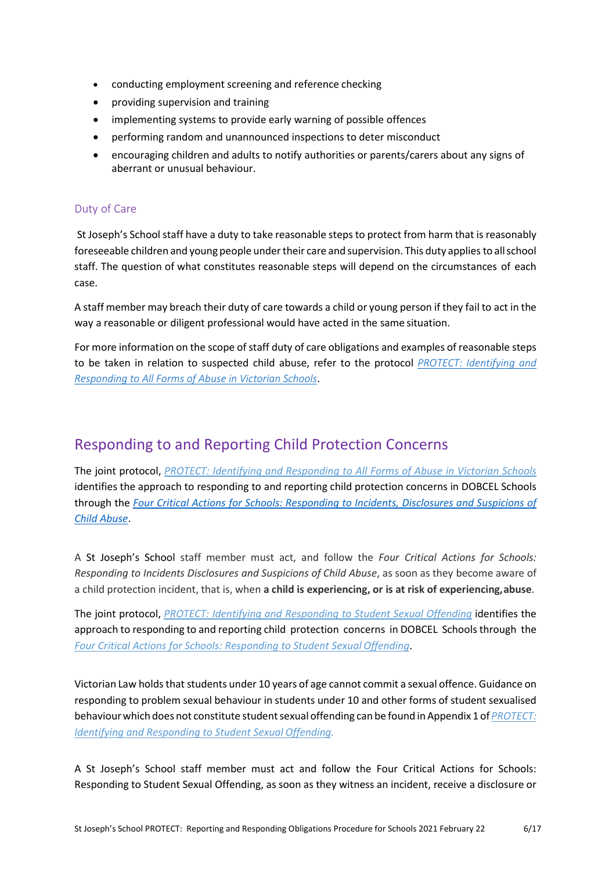- conducting employment screening and reference checking
- providing supervision and training
- implementing systems to provide early warning of possible offences
- performing random and unannounced inspections to deter misconduct
- encouraging children and adults to notify authorities or parents/carers about any signs of aberrant or unusual behaviour.

#### Duty of Care

St Joseph's School staff have a duty to take reasonable steps to protect from harm that is reasonably foreseeable children and young people under their care and supervision. This duty applies to all school staff. The question of what constitutes reasonable steps will depend on the circumstances of each case.

A staff member may breach their duty of care towards a child or young person if they fail to act in the way a reasonable or diligent professional would have acted in the same situation.

For more information on the scope of staff duty of care obligations and examples of reasonable steps to be taken in relation to suspected child abuse, refer to the protocol *[PROTECT: Identifying and](http://www.education.vic.gov.au/Documents/about/programs/health/protect/ChildSafeStandard5_SchoolsGuide.pdf) [Responding to All Forms of Abuse in Victorian Schools](http://www.education.vic.gov.au/Documents/about/programs/health/protect/ChildSafeStandard5_SchoolsGuide.pdf)*.

### Responding to and Reporting Child Protection Concerns

The joint protocol, *[PROTECT: Identifying and Responding to All Forms of Abuse in Victorian Schools](https://www.education.vic.gov.au/Documents/about/programs/health/protect/ChildSafeStandard5_SchoolsGuide.pdf)* identifies the approach to responding to and reporting child protection concerns in DOBCEL Schools through the *[Four Critical Actions for Schools: Responding to Incidents, Disclosures and Suspicions of](http://www.education.vic.gov.au/Documents/about/programs/health/protect/FourCriticalActions_ChildAbuse.pdf) [Child Abuse](http://www.education.vic.gov.au/Documents/about/programs/health/protect/FourCriticalActions_ChildAbuse.pdf)*.

A St Joseph's School staff member must act, and follow the *Four Critical Actions for Schools: Responding to Incidents Disclosures and Suspicions of Child Abuse*, as soon as they become aware of a child protection incident, that is, when **a child is experiencing, or is at risk of experiencing,abuse**.

The joint protocol, *[PROTECT: Identifying and Responding to Student Sexual Offending](https://www.education.vic.gov.au/Documents/about/programs/health/protect/SSO_Policy.pdf)* identifies the approach to responding to and reporting child protection concerns in DOBCEL Schools through the *[Four Critical Actions for Schools: Responding to Student Sexual](https://www.education.vic.gov.au/Documents/about/programs/health/protect/FourCriticalActions_SSO.pdf) Offending*.

Victorian Law holds that students under 10 years of age cannot commit a sexual offence. Guidance on responding to problem sexual behaviour in students under 10 and other forms of student sexualised behaviour which does not constitute student sexual offending can be found in Appendix 1 of *PROTECT*: *[Identifying and Responding to Student Sexual](https://www.education.vic.gov.au/Documents/about/programs/health/protect/SSO_Policy.pdf) Offending.*

A St Joseph's School staff member must act and follow the Four Critical Actions for Schools: Responding to Student Sexual Offending, as soon as they witness an incident, receive a disclosure or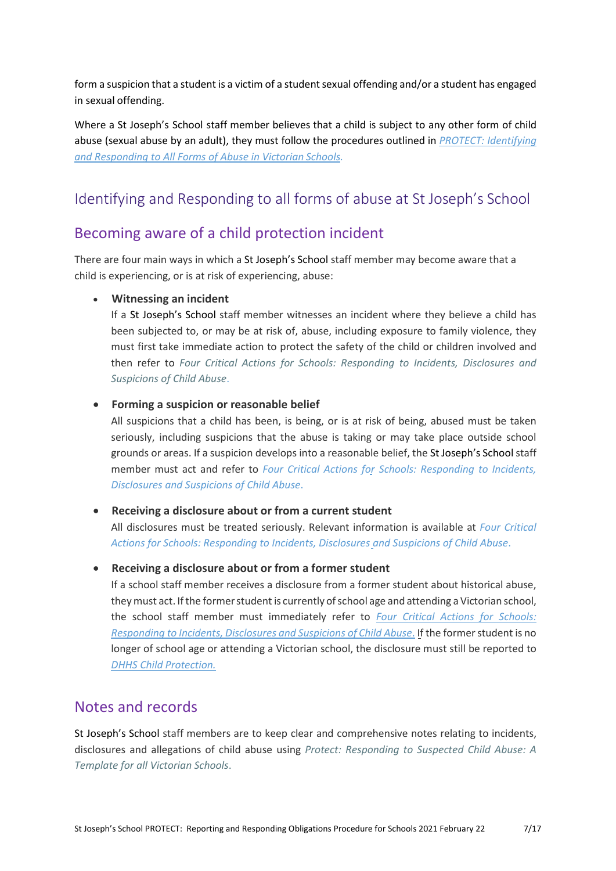form a suspicion that a student is a victim of a student sexual offending and/or a student has engaged in sexual offending.

Where a St Joseph's School staff member believes that a child is subject to any other form of child abuse (sexual abuse by an adult), they must follow the procedures outlined in *[PROTECT: Identifying](https://www.education.vic.gov.au/Documents/about/programs/health/protect/ChildSafeStandard5_SchoolsGuide.pdf) [and Responding to All Forms of Abuse in Victorian](https://www.education.vic.gov.au/Documents/about/programs/health/protect/ChildSafeStandard5_SchoolsGuide.pdf) Schools.*

## Identifying and Responding to all forms of abuse at St Joseph's School

### Becoming aware of a child protection incident

There are four main ways in which a St Joseph's School staff member may become aware that a child is experiencing, or is at risk of experiencing, abuse:

#### • **Witnessing an incident**

If a St Joseph's School staff member witnesses an incident where they believe a child has been subjected to, or may be at risk of, abuse, including exposure to family violence, they must first take immediate action to protect the safety of the child or children involved and then refer to *[Four Critical Actions for Schools: Responding to Incidents, Disclosures and](http://www.education.vic.gov.au/Documents/about/programs/health/protect/FourCriticalActions_ChildAbuse.pdf) [Suspicions of Child Abuse](http://www.education.vic.gov.au/Documents/about/programs/health/protect/FourCriticalActions_ChildAbuse.pdf)*.

#### • **Forming a suspicion or reasonable belief**

All suspicions that a child has been, is being, or is at risk of being, abused must be taken seriously, including suspicions that the abuse is taking or may take place outside school grounds or areas. If a suspicion develops into a reasonable belief, the St Joseph's Schoolstaff member must act and refer to *[Four Critical Actions for Schools: Responding to Incidents,](http://www.education.vic.gov.au/Documents/about/programs/health/protect/FourCriticalActions_ChildAbuse.pdf) [Disclosures and Suspicions of Child Abuse](http://www.education.vic.gov.au/Documents/about/programs/health/protect/FourCriticalActions_ChildAbuse.pdf)*.

#### • **Receiving a disclosure about or from a current student**

All disclosures must be treated seriously. Relevant information is available at *[Four Critical](http://www.education.vic.gov.au/Documents/about/programs/health/protect/FourCriticalActions_ChildAbuse.pdf) [Actions for Schools: Responding to Incidents, Disclosures and Suspicions of Child Abuse](http://www.education.vic.gov.au/Documents/about/programs/health/protect/FourCriticalActions_ChildAbuse.pdf)*.

#### • **Receiving a disclosure about or from a former student**

If a school staff member receives a disclosure from a former student about historical abuse, they must act. If the former student is currently of school age and attending a Victorian school, the school staff member must immediately refer to *[Four Critical Actions for Schools:](http://www.education.vic.gov.au/Documents/about/programs/health/protect/FourCriticalActions_ChildAbuse.pdf) [Responding](http://www.education.vic.gov.au/Documents/about/programs/health/protect/FourCriticalActions_ChildAbuse.pdf) to Incidents, Disclosures and Suspicions of Child Abuse*. If the formerstudent is no longer of school age or attending a Victorian school, the disclosure must still be reported to *[DHHS Child](http://www.education.vic.gov.au/about/contact/Pages/reportingabuse.aspx?Redirect=1) Protection.*

### Notes and records

St Joseph's School staff members are to keep clear and comprehensive notes relating to incidents, disclosures and allegations of child abuse using *[Protect: Responding to Suspected Child](http://www.education.vic.gov.au/Documents/about/programs/health/protect/PROTECT_Responding_TemplateSchools.pdf) [Abuse: A](http://www.education.vic.gov.au/Documents/about/programs/health/protect/PROTECT_Responding_TemplateSchools.pdf)  [Template for all Victorian Schools](http://www.education.vic.gov.au/Documents/about/programs/health/protect/PROTECT_Responding_TemplateSchools.pdf)*[.](http://www.education.vic.gov.au/Documents/about/programs/health/protect/PROTECT_Responding_TemplateSchools.pdf)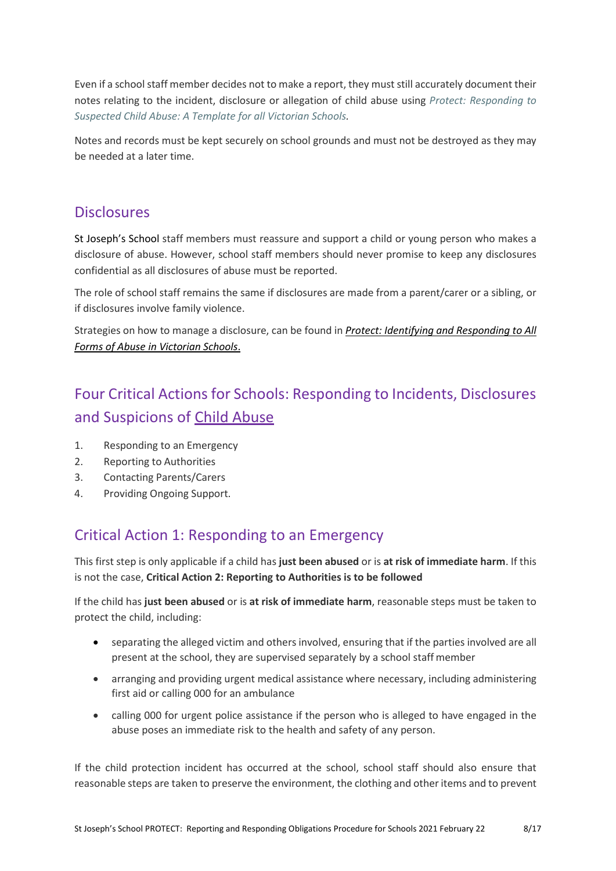Even if a school staff member decides not to make a report, they must still accurately document their notes relating to the incident, disclosure or allegation of child abuse using *[Protect: Responding](http://www.education.vic.gov.au/Documents/about/programs/health/protect/PROTECT_Responding_TemplateSchools.pdf) [to](http://www.education.vic.gov.au/Documents/about/programs/health/protect/PROTECT_Responding_TemplateSchools.pdf)  [Suspected Child Abuse: A Template for all Victorian Schools.](http://www.education.vic.gov.au/Documents/about/programs/health/protect/PROTECT_Responding_TemplateSchools.pdf)*

Notes and records must be kept securely on school grounds and must not be destroyed as they may be needed at a later time.

### **Disclosures**

St Joseph's School staff members must reassure and support a child or young person who makes a disclosure of abuse. However, school staff members should never promise to keep any disclosures confidential as all disclosures of abuse must be reported.

The role of school staff remains the same if disclosures are made from a parent/carer or a sibling, or if disclosures involve family violence.

Strategies on how to manage a disclosure, can be found in *[Protect: Identifying and Responding to All](http://www.education.vic.gov.au/Documents/about/programs/health/protect/ChildSafeStandard5_SchoolsGuide.pdf) [Forms of Abuse in Victorian Schools](http://www.education.vic.gov.au/Documents/about/programs/health/protect/ChildSafeStandard5_SchoolsGuide.pdf)*.

# Four Critical Actions for Schools: Responding to Incidents, Disclosures and Suspicions of [Child Abuse](http://www.education.vic.gov.au/Documents/about/programs/health/protect/FourCriticalActions_ChildAbuse.pdf)

- 1. Responding to an Emergency
- 2. Reporting to Authorities
- 3. Contacting Parents/Carers
- 4. Providing Ongoing Support.

## Critical Action 1: Responding to an Emergency

This first step is only applicable if a child has **just been abused** or is **at risk of immediate harm**. If this is not the case, **Critical Action 2: Reporting to Authorities is to be followed**

If the child has **just been abused** or is **at risk of immediate harm**, reasonable steps must be taken to protect the child, including:

- separating the alleged victim and others involved, ensuring that if the parties involved are all present at the school, they are supervised separately by a school staff member
- arranging and providing urgent medical assistance where necessary, including administering first aid or calling 000 for an ambulance
- calling 000 for urgent police assistance if the person who is alleged to have engaged in the abuse poses an immediate risk to the health and safety of any person.

If the child protection incident has occurred at the school, school staff should also ensure that reasonable steps are taken to preserve the environment, the clothing and otheritems and to prevent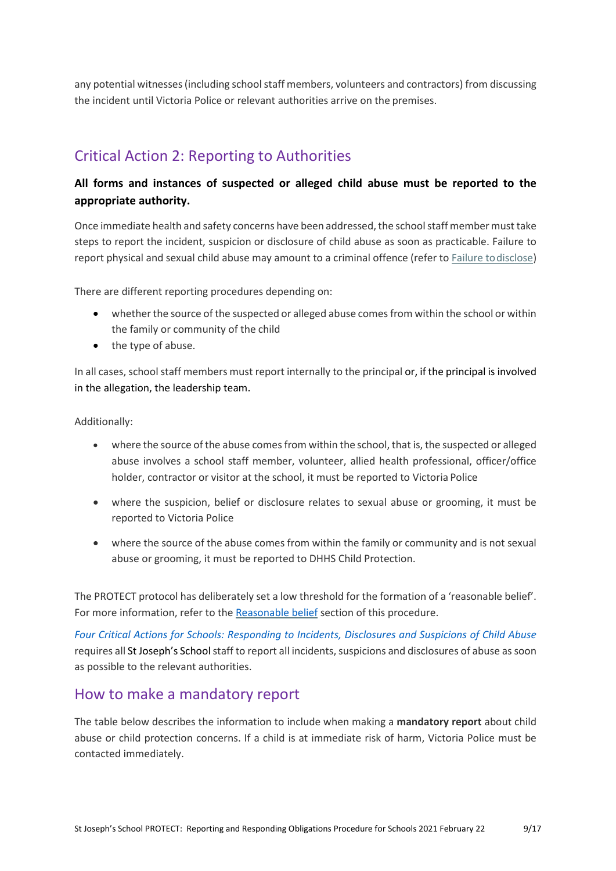any potential witnesses (including school staff members, volunteers and contractors) from discussing the incident until Victoria Police or relevant authorities arrive on the premises.

## Critical Action 2: Reporting to Authorities

### **All forms and instances of suspected or alleged child abuse must be reported to the appropriate authority.**

Once immediate health and safety concerns have been addressed, the school staff member must take steps to report the incident, suspicion or disclosure of child abuse as soon as practicable. Failure to report physical and sexual child abuse may amount to a criminal offence (refer t[o Failure todisclose\)](https://www.cem.edu.au/About-Us/Policies/Child-Protection-Reporting-Obligations.aspx#_Failure_to_disclose)

There are different reporting procedures depending on:

- whether the source of the suspected or alleged abuse comes from within the school or within the family or community of the child
- the type of abuse.

In all cases, school staff members must report internally to the principal or, if the principal is involved in the allegation, the leadership team.

#### Additionally:

- where the source of the abuse comes from within the school, that is, the suspected or alleged abuse involves a school staff member, volunteer, allied health professional, officer/office holder, contractor or visitor at the school, it must be reported to Victoria Police
- where the suspicion, belief or disclosure relates to sexual abuse or grooming, it must be reported to Victoria Police
- where the source of the abuse comes from within the family or community and is not sexual abuse or grooming, it must be reported to DHHS Child Protection.

The PROTECT protocol has deliberately set a low threshold for the formation of a 'reasonable belief'. For more information, refer to the [Reasonable belief](https://www.cem.edu.au/About-Us/Policies/Child-Protection-Reporting-Obligations.aspx#_Reasonable_belief) section of this procedure.

*[Four Critical Actions for Schools: Responding to Incidents, Disclosures and Suspicions of Child](http://www.education.vic.gov.au/Documents/about/programs/health/protect/FourCriticalActions_ChildAbuse.pdf) [Abuse](http://www.education.vic.gov.au/Documents/about/programs/health/protect/FourCriticalActions_ChildAbuse.pdf)*  requires all St Joseph's School staff to report all incidents, suspicions and disclosures of abuse as soon as possible to the relevant authorities.

### How to make a mandatory report

The table below describes the information to include when making a **mandatory report** about child abuse or child protection concerns. If a child is at immediate risk of harm, Victoria Police must be contacted immediately.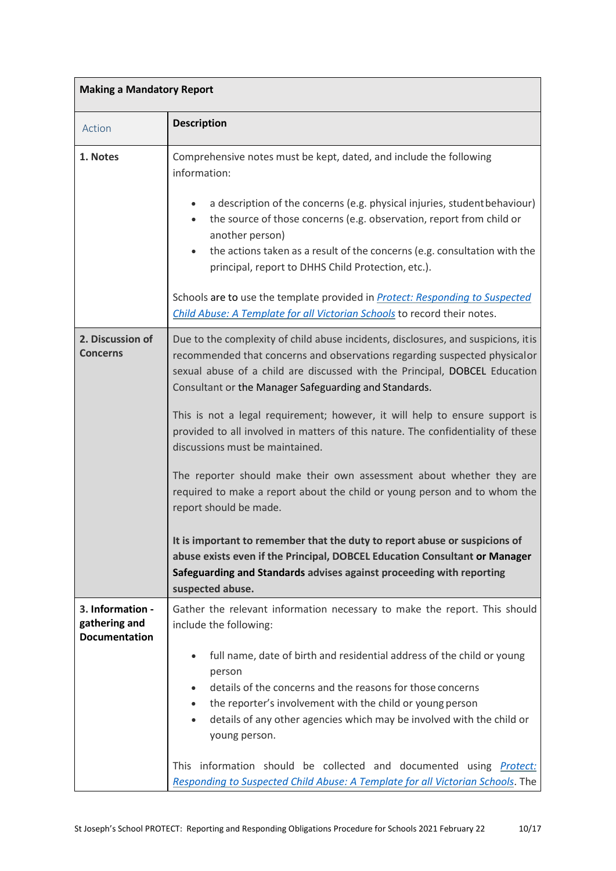| <b>Making a Mandatory Report</b>                          |                                                                                                                                                                                                                                                                                                                                                                                                                                                                                                                                                                                                                                                                                                                                                                                                                                                                                                                                                     |  |  |  |
|-----------------------------------------------------------|-----------------------------------------------------------------------------------------------------------------------------------------------------------------------------------------------------------------------------------------------------------------------------------------------------------------------------------------------------------------------------------------------------------------------------------------------------------------------------------------------------------------------------------------------------------------------------------------------------------------------------------------------------------------------------------------------------------------------------------------------------------------------------------------------------------------------------------------------------------------------------------------------------------------------------------------------------|--|--|--|
| Action                                                    | <b>Description</b>                                                                                                                                                                                                                                                                                                                                                                                                                                                                                                                                                                                                                                                                                                                                                                                                                                                                                                                                  |  |  |  |
| 1. Notes                                                  | Comprehensive notes must be kept, dated, and include the following<br>information:<br>a description of the concerns (e.g. physical injuries, student behaviour)<br>the source of those concerns (e.g. observation, report from child or<br>$\bullet$<br>another person)<br>the actions taken as a result of the concerns (e.g. consultation with the<br>principal, report to DHHS Child Protection, etc.).<br>Schools are to use the template provided in <b>Protect: Responding to Suspected</b><br>Child Abuse: A Template for all Victorian Schools to record their notes.                                                                                                                                                                                                                                                                                                                                                                       |  |  |  |
| 2. Discussion of<br><b>Concerns</b>                       | Due to the complexity of child abuse incidents, disclosures, and suspicions, it is<br>recommended that concerns and observations regarding suspected physicalor<br>sexual abuse of a child are discussed with the Principal, DOBCEL Education<br>Consultant or the Manager Safeguarding and Standards.<br>This is not a legal requirement; however, it will help to ensure support is<br>provided to all involved in matters of this nature. The confidentiality of these<br>discussions must be maintained.<br>The reporter should make their own assessment about whether they are<br>required to make a report about the child or young person and to whom the<br>report should be made.<br>It is important to remember that the duty to report abuse or suspicions of<br>abuse exists even if the Principal, DOBCEL Education Consultant or Manager<br>Safeguarding and Standards advises against proceeding with reporting<br>suspected abuse. |  |  |  |
| 3. Information -<br>gathering and<br><b>Documentation</b> | Gather the relevant information necessary to make the report. This should<br>include the following:<br>full name, date of birth and residential address of the child or young<br>person<br>details of the concerns and the reasons for those concerns<br>the reporter's involvement with the child or young person<br>$\bullet$<br>details of any other agencies which may be involved with the child or<br>$\bullet$<br>young person.<br>This information should be collected and documented using Protect:<br>Responding to Suspected Child Abuse: A Template for all Victorian Schools. The                                                                                                                                                                                                                                                                                                                                                      |  |  |  |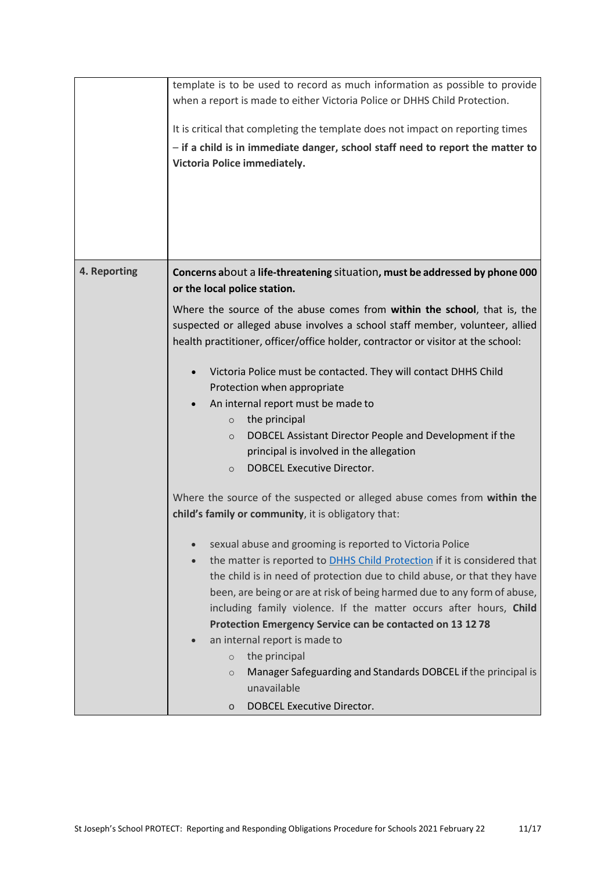| Victoria Police immediately.                                                                                                                                                                                                                                                                                                                                                                                                                                                                                                                                                                                                                                                                                                                                                                                                                                                                                                                                                                                                                               |                                                                                                                                                                                                                                                                                                                                                                                                                                    |
|------------------------------------------------------------------------------------------------------------------------------------------------------------------------------------------------------------------------------------------------------------------------------------------------------------------------------------------------------------------------------------------------------------------------------------------------------------------------------------------------------------------------------------------------------------------------------------------------------------------------------------------------------------------------------------------------------------------------------------------------------------------------------------------------------------------------------------------------------------------------------------------------------------------------------------------------------------------------------------------------------------------------------------------------------------|------------------------------------------------------------------------------------------------------------------------------------------------------------------------------------------------------------------------------------------------------------------------------------------------------------------------------------------------------------------------------------------------------------------------------------|
| 4. Reporting<br>Concerns about a life-threatening situation, must be addressed by phone 000<br>or the local police station.<br>Where the source of the abuse comes from within the school, that is, the<br>suspected or alleged abuse involves a school staff member, volunteer, allied<br>health practitioner, officer/office holder, contractor or visitor at the school:<br>Victoria Police must be contacted. They will contact DHHS Child<br>Protection when appropriate<br>An internal report must be made to<br>the principal<br>$\circ$<br>$\circ$<br>principal is involved in the allegation<br><b>DOBCEL Executive Director.</b><br>$\circ$<br>Where the source of the suspected or alleged abuse comes from within the<br>child's family or community, it is obligatory that:<br>sexual abuse and grooming is reported to Victoria Police<br>Protection Emergency Service can be contacted on 13 12 78<br>an internal report is made to<br>$\bullet$<br>the principal<br>$\circ$<br>$\circ$<br>unavailable<br><b>DOBCEL Executive Director.</b> | DOBCEL Assistant Director People and Development if the<br>the matter is reported to DHHS Child Protection if it is considered that<br>the child is in need of protection due to child abuse, or that they have<br>been, are being or are at risk of being harmed due to any form of abuse,<br>including family violence. If the matter occurs after hours, Child<br>Manager Safeguarding and Standards DOBCEL if the principal is |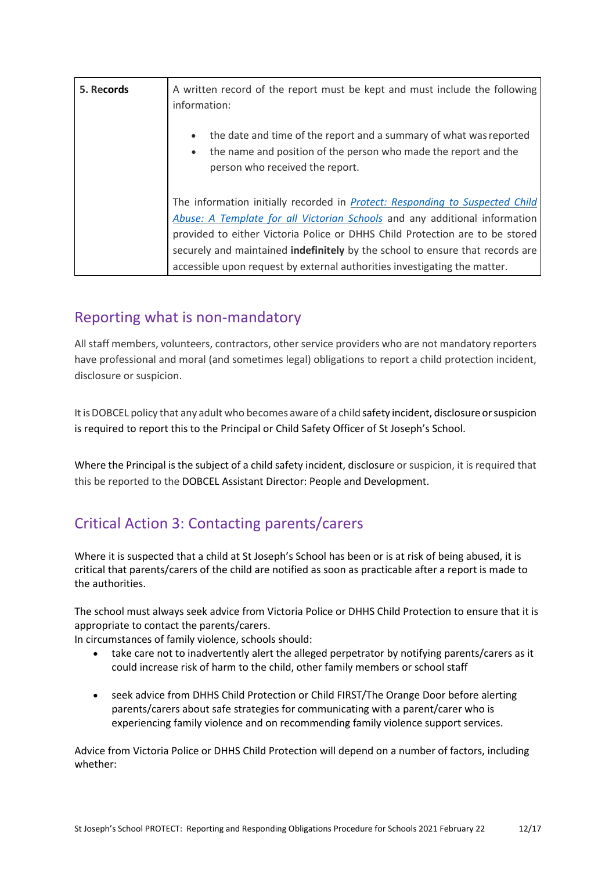| 5. Records | A written record of the report must be kept and must include the following<br>information:                                                                                                                                                                                                                                                                                                               |  |  |
|------------|----------------------------------------------------------------------------------------------------------------------------------------------------------------------------------------------------------------------------------------------------------------------------------------------------------------------------------------------------------------------------------------------------------|--|--|
|            | the date and time of the report and a summary of what was reported<br>the name and position of the person who made the report and the<br>person who received the report.                                                                                                                                                                                                                                 |  |  |
|            | The information initially recorded in Protect: Responding to Suspected Child<br>Abuse: A Template for all Victorian Schools and any additional information<br>provided to either Victoria Police or DHHS Child Protection are to be stored<br>securely and maintained indefinitely by the school to ensure that records are<br>accessible upon request by external authorities investigating the matter. |  |  |

### Reporting what is non-mandatory

All staff members, volunteers, contractors, other service providers who are not mandatory reporters have professional and moral (and sometimes legal) obligations to report a child protection incident, disclosure or suspicion.

It is DOBCEL policy that any adult who becomes aware of a child safety incident, disclosure or suspicion is required to report this to the Principal or Child Safety Officer of St Joseph's School.

Where the Principal is the subject of a child safety incident, disclosure or suspicion, it is required that this be reported to the DOBCEL Assistant Director: People and Development.

## Critical Action 3: Contacting parents/carers

Where it is suspected that a child at St Joseph's School has been or is at risk of being abused, it is critical that parents/carers of the child are notified as soon as practicable after a report is made to the authorities.

The school must always seek advice from Victoria Police or DHHS Child Protection to ensure that it is appropriate to contact the parents/carers.

In circumstances of family violence, schools should:

- take care not to inadvertently alert the alleged perpetrator by notifying parents/carers as it could increase risk of harm to the child, other family members or school staff
- seek advice from DHHS Child Protection or Child FIRST/The Orange Door before alerting parents/carers about safe strategies for communicating with a parent/carer who is experiencing family violence and on recommending family violence support services.

Advice from Victoria Police or DHHS Child Protection will depend on a number of factors, including whether: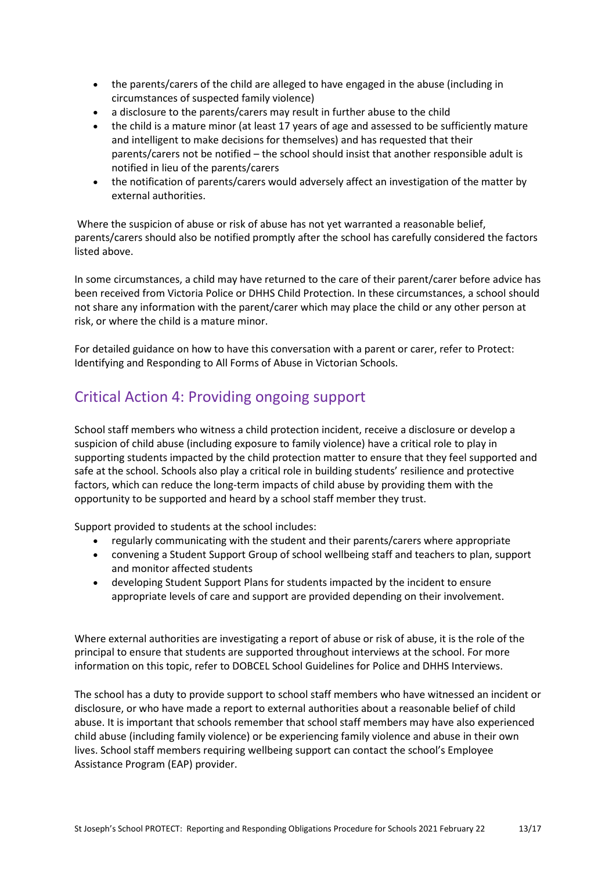- the parents/carers of the child are alleged to have engaged in the abuse (including in circumstances of suspected family violence)
- a disclosure to the parents/carers may result in further abuse to the child
- the child is a mature minor (at least 17 years of age and assessed to be sufficiently mature and intelligent to make decisions for themselves) and has requested that their parents/carers not be notified – the school should insist that another responsible adult is notified in lieu of the parents/carers
- the notification of parents/carers would adversely affect an investigation of the matter by external authorities.

Where the suspicion of abuse or risk of abuse has not yet warranted a reasonable belief, parents/carers should also be notified promptly after the school has carefully considered the factors listed above.

In some circumstances, a child may have returned to the care of their parent/carer before advice has been received from Victoria Police or DHHS Child Protection. In these circumstances, a school should not share any information with the parent/carer which may place the child or any other person at risk, or where the child is a mature minor.

For detailed guidance on how to have this conversation with a parent or carer, refer to [Protect:](http://www.education.vic.gov.au/Documents/about/programs/health/protect/ChildSafeStandard5_SchoolsGuide.pdf)  Identifying and [Responding to All Forms of Abuse in Victorian Schools.](http://www.education.vic.gov.au/Documents/about/programs/health/protect/ChildSafeStandard5_SchoolsGuide.pdf)

## Critical Action 4: Providing ongoing support

School staff members who witness a child protection incident, receive a disclosure or develop a suspicion of child abuse (including exposure to family violence) have a critical role to play in supporting students impacted by the child protection matter to ensure that they feel supported and safe at the school. Schools also play a critical role in building students' resilience and protective factors, which can reduce the long-term impacts of child abuse by providing them with the opportunity to be supported and heard by a school staff member they trust.

Support provided to students at the school includes:

- regularly communicating with the student and their parents/carers where appropriate
- convening a Student Support Group of school wellbeing staff and teachers to plan, support and monitor affected students
- developing Student Support Plans for students impacted by the incident to ensure appropriate levels of care and support are provided depending on their involvement.

Where external authorities are investigating a report of abuse or risk of abuse, it is the role of the principal to ensure that students are supported throughout interviews at the school. For more information on this topic, refer to DOBCEL School Guidelines for Police and DHHS Interviews.

The school has a duty to provide support to school staff members who have witnessed an incident or disclosure, or who have made a report to external authorities about a reasonable belief of child abuse. It is important that schools remember that school staff members may have also experienced child abuse (including family violence) or be experiencing family violence and abuse in their own lives. School staff members requiring wellbeing support can contact the school's Employee Assistance Program (EAP) provider.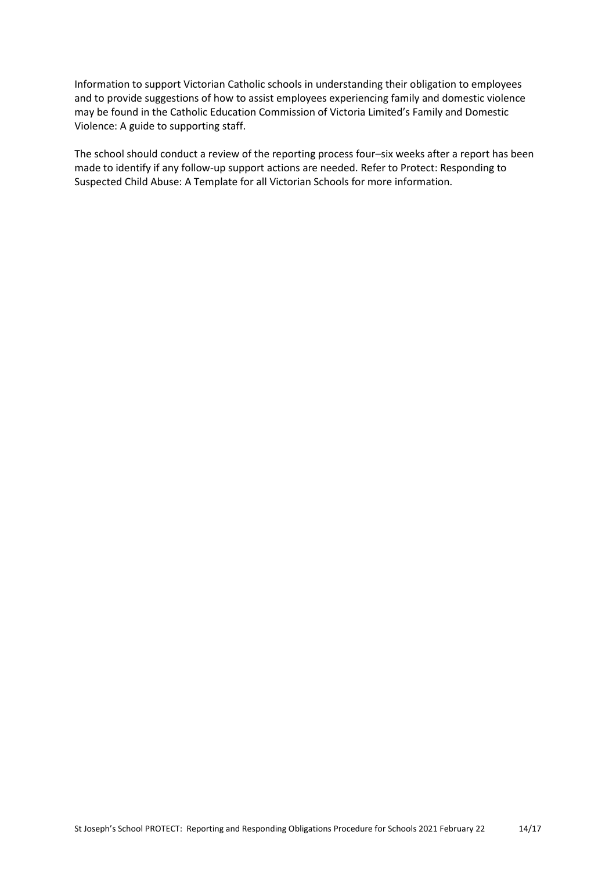Information to support Victorian Catholic schools in understanding their obligation to employees and to provide suggestions of how to assist employees experiencing family and domestic violence may be found in the Catholic Education Commission of Victoria Limited'[s Family and Domestic](http://www.cecv.catholic.edu.au/Media-Files/IR/Policies-Guidelines/Family-Domestic-Violence/Guide-to-family-and-domestic-violence-(1).aspx)  [Violence: A guide to supporting staff.](http://www.cecv.catholic.edu.au/Media-Files/IR/Policies-Guidelines/Family-Domestic-Violence/Guide-to-family-and-domestic-violence-(1).aspx)

The school should conduct a review of the reporting process four–six weeks after a report has been made to identify if any follow-up support actions are needed. Refer to [Protect: Responding to](http://www.education.vic.gov.au/Documents/about/programs/health/protect/PROTECT_Responding_TemplateSchools.pdf)  [Suspected Child Abuse: A Template for all Victorian Schools](http://www.education.vic.gov.au/Documents/about/programs/health/protect/PROTECT_Responding_TemplateSchools.pdf) for more information.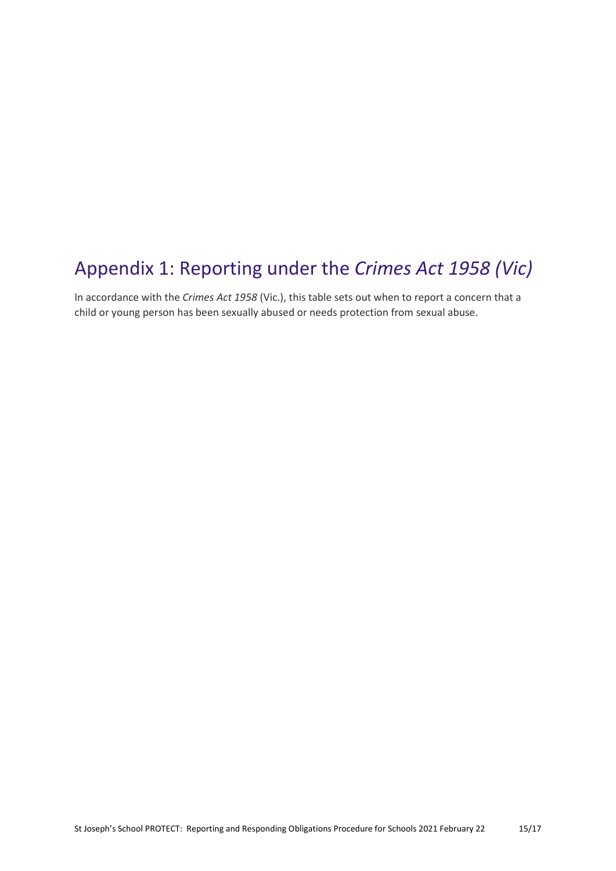# Appendix 1: Reporting under the *Crimes Act 1958 (Vic)*

In accordance with the *Crimes Act 1958* (Vic.), this table sets out when to report a concern that a child or young person has been sexually abused or needs protection from sexual abuse.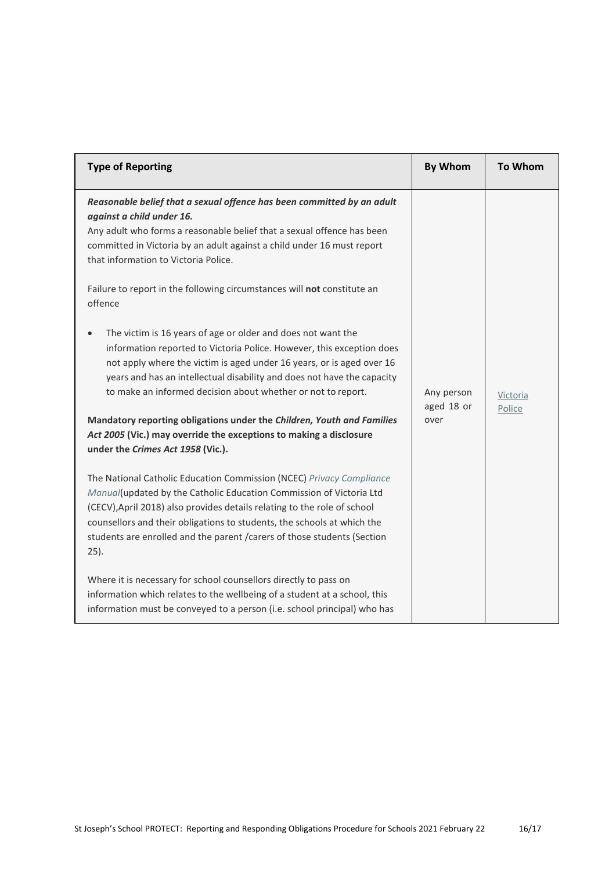| <b>Type of Reporting</b>                                                                                                                                                                                                                                                                                                                                                                                                                                                                                  | <b>By Whom</b>                   | <b>To Whom</b>     |
|-----------------------------------------------------------------------------------------------------------------------------------------------------------------------------------------------------------------------------------------------------------------------------------------------------------------------------------------------------------------------------------------------------------------------------------------------------------------------------------------------------------|----------------------------------|--------------------|
| Reasonable belief that a sexual offence has been committed by an adult<br>against a child under 16.<br>Any adult who forms a reasonable belief that a sexual offence has been<br>committed in Victoria by an adult against a child under 16 must report<br>that information to Victoria Police.                                                                                                                                                                                                           |                                  |                    |
| Failure to report in the following circumstances will not constitute an<br>offence                                                                                                                                                                                                                                                                                                                                                                                                                        |                                  |                    |
| The victim is 16 years of age or older and does not want the<br>information reported to Victoria Police. However, this exception does<br>not apply where the victim is aged under 16 years, or is aged over 16<br>years and has an intellectual disability and does not have the capacity<br>to make an informed decision about whether or not to report.<br>Mandatory reporting obligations under the Children, Youth and Families<br>Act 2005 (Vic.) may override the exceptions to making a disclosure | Any person<br>aged 18 or<br>over | Victoria<br>Police |
| under the Crimes Act 1958 (Vic.).                                                                                                                                                                                                                                                                                                                                                                                                                                                                         |                                  |                    |
| The National Catholic Education Commission (NCEC) Privacy Compliance<br>Manual(updated by the Catholic Education Commission of Victoria Ltd<br>(CECV), April 2018) also provides details relating to the role of school<br>counsellors and their obligations to students, the schools at which the<br>students are enrolled and the parent / carers of those students (Section<br>$25$ ).                                                                                                                 |                                  |                    |
| Where it is necessary for school counsellors directly to pass on<br>information which relates to the wellbeing of a student at a school, this<br>information must be conveyed to a person (i.e. school principal) who has                                                                                                                                                                                                                                                                                 |                                  |                    |